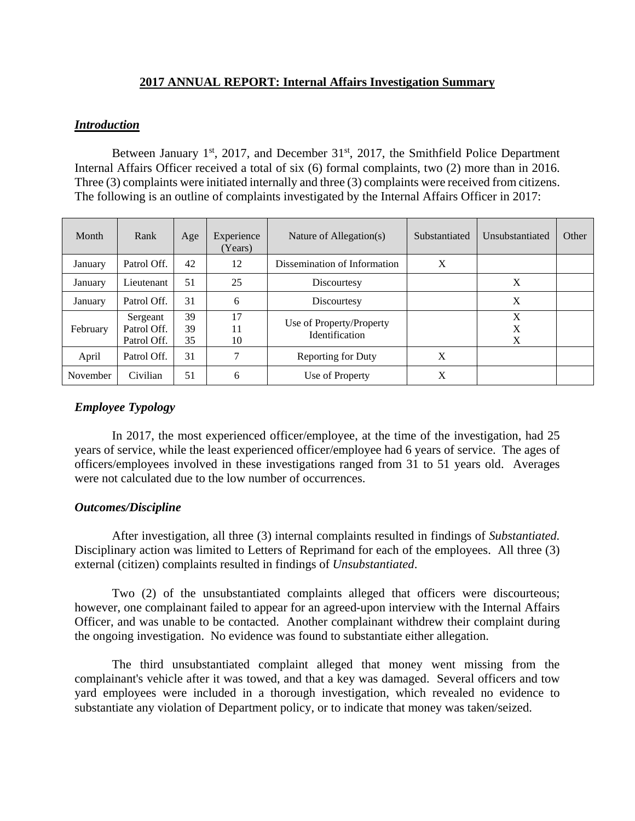# **2017 ANNUAL REPORT: Internal Affairs Investigation Summary**

### *Introduction*

Between January 1st, 2017, and December 31st, 2017, the Smithfield Police Department Internal Affairs Officer received a total of six (6) formal complaints, two (2) more than in 2016. Three (3) complaints were initiated internally and three (3) complaints were received from citizens. The following is an outline of complaints investigated by the Internal Affairs Officer in 2017:

| Month    | Rank                                   | Age            | Experience<br>(Years) | Nature of Allegation(s)                    | Substantiated | Unsubstantiated | Other |
|----------|----------------------------------------|----------------|-----------------------|--------------------------------------------|---------------|-----------------|-------|
| January  | Patrol Off.                            | 42             | 12                    | Dissemination of Information               | X             |                 |       |
| January  | Lieutenant                             | 51             | 25                    | Discourtesy                                |               | X               |       |
| January  | Patrol Off.                            | 31             | 6                     | Discourtesy                                |               | X               |       |
| February | Sergeant<br>Patrol Off.<br>Patrol Off. | 39<br>39<br>35 | 17<br>11<br>10        | Use of Property/Property<br>Identification |               | X<br>X<br>X     |       |
| April    | Patrol Off.                            | 31             | 7                     | Reporting for Duty                         | X             |                 |       |
| November | Civilian                               | 51             | 6                     | Use of Property                            | X             |                 |       |

# *Employee Typology*

 In 2017, the most experienced officer/employee, at the time of the investigation, had 25 years of service, while the least experienced officer/employee had 6 years of service. The ages of officers/employees involved in these investigations ranged from 31 to 51 years old. Averages were not calculated due to the low number of occurrences.

### *Outcomes/Discipline*

After investigation, all three (3) internal complaints resulted in findings of *Substantiated.*  Disciplinary action was limited to Letters of Reprimand for each of the employees. All three (3) external (citizen) complaints resulted in findings of *Unsubstantiated*.

 Two (2) of the unsubstantiated complaints alleged that officers were discourteous; however, one complainant failed to appear for an agreed-upon interview with the Internal Affairs Officer, and was unable to be contacted. Another complainant withdrew their complaint during the ongoing investigation. No evidence was found to substantiate either allegation.

 The third unsubstantiated complaint alleged that money went missing from the complainant's vehicle after it was towed, and that a key was damaged. Several officers and tow yard employees were included in a thorough investigation, which revealed no evidence to substantiate any violation of Department policy, or to indicate that money was taken/seized.